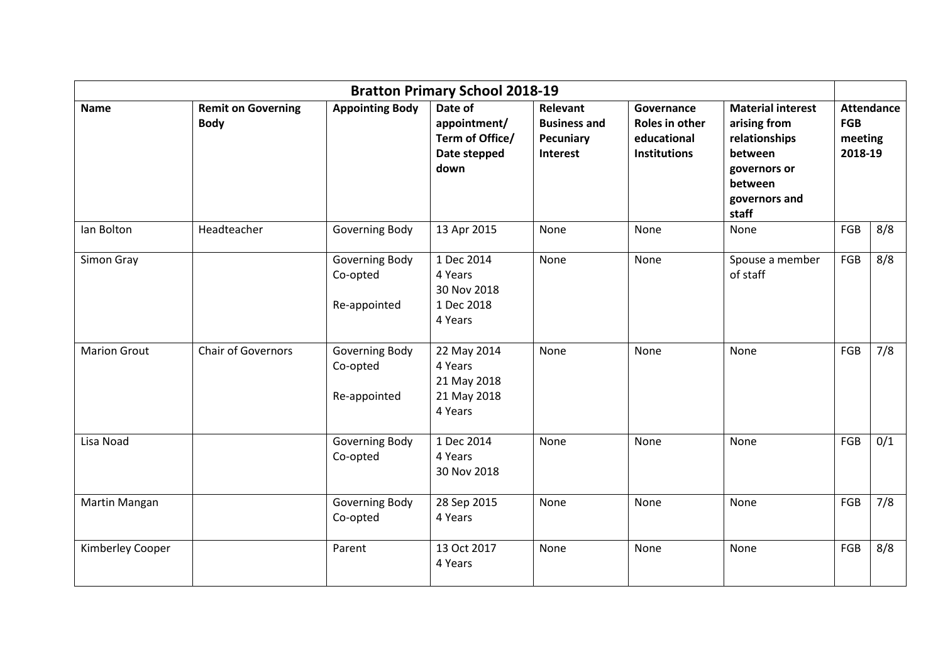| <b>Bratton Primary School 2018-19</b> |                                          |                            |                                                                    |                                                                 |                                                                    |                                                                                                                           |                                                       |     |
|---------------------------------------|------------------------------------------|----------------------------|--------------------------------------------------------------------|-----------------------------------------------------------------|--------------------------------------------------------------------|---------------------------------------------------------------------------------------------------------------------------|-------------------------------------------------------|-----|
| <b>Name</b>                           | <b>Remit on Governing</b><br><b>Body</b> | <b>Appointing Body</b>     | Date of<br>appointment/<br>Term of Office/<br>Date stepped<br>down | Relevant<br><b>Business and</b><br>Pecuniary<br><b>Interest</b> | Governance<br>Roles in other<br>educational<br><b>Institutions</b> | <b>Material interest</b><br>arising from<br>relationships<br>between<br>governors or<br>between<br>governors and<br>staff | <b>Attendance</b><br><b>FGB</b><br>meeting<br>2018-19 |     |
| Ian Bolton                            | Headteacher                              | Governing Body             | 13 Apr 2015                                                        | None                                                            | None                                                               | None                                                                                                                      | FGB                                                   | 8/8 |
| Simon Gray                            |                                          | Governing Body<br>Co-opted | 1 Dec 2014<br>4 Years<br>30 Nov 2018                               | None                                                            | None                                                               | Spouse a member<br>of staff                                                                                               | FGB                                                   | 8/8 |
|                                       |                                          | Re-appointed               | 1 Dec 2018<br>4 Years                                              |                                                                 |                                                                    |                                                                                                                           |                                                       |     |
| <b>Marion Grout</b>                   | Chair of Governors                       | Governing Body<br>Co-opted | 22 May 2014<br>4 Years<br>21 May 2018                              | None                                                            | None                                                               | None                                                                                                                      | FGB                                                   | 7/8 |
|                                       |                                          | Re-appointed               | 21 May 2018<br>4 Years                                             |                                                                 |                                                                    |                                                                                                                           |                                                       |     |
| Lisa Noad                             |                                          | Governing Body<br>Co-opted | 1 Dec 2014<br>4 Years<br>30 Nov 2018                               | None                                                            | None                                                               | None                                                                                                                      | FGB                                                   | 0/1 |
| Martin Mangan                         |                                          | Governing Body<br>Co-opted | 28 Sep 2015<br>4 Years                                             | None                                                            | None                                                               | None                                                                                                                      | FGB                                                   | 7/8 |
| Kimberley Cooper                      |                                          | Parent                     | 13 Oct 2017<br>4 Years                                             | None                                                            | None                                                               | None                                                                                                                      | FGB                                                   | 8/8 |